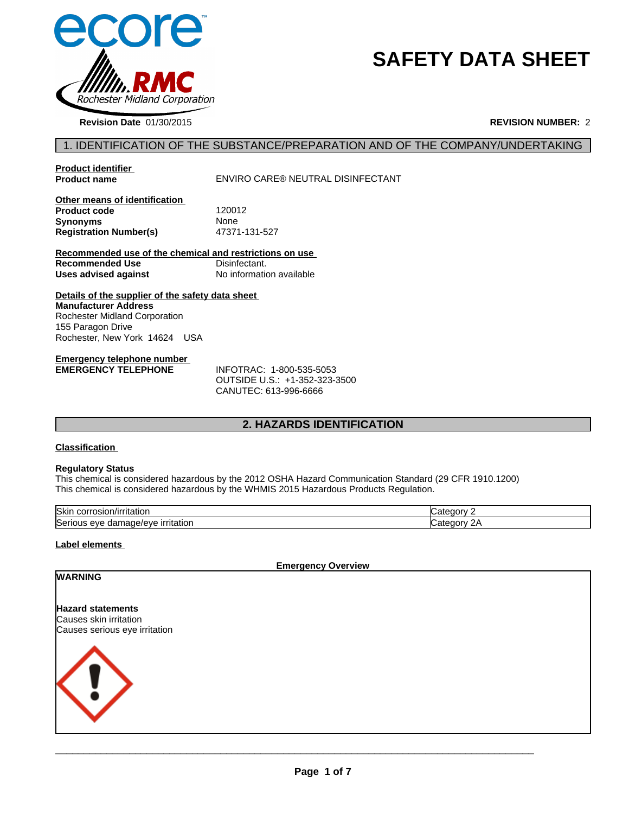

# **SAFETY DATA SHEET**

**Revision Date** 01/30/2015 **REVISION NUMBER:** 2

| <b>Product identifier</b><br><b>Product name</b>                                                                                                                       | ENVIRO CARE® NEUTRAL DISINFECTANT                                                  |
|------------------------------------------------------------------------------------------------------------------------------------------------------------------------|------------------------------------------------------------------------------------|
|                                                                                                                                                                        |                                                                                    |
| Other means of identification<br><b>Product code</b>                                                                                                                   | 120012                                                                             |
| Synonyms                                                                                                                                                               | None                                                                               |
| <b>Registration Number(s)</b>                                                                                                                                          | 47371-131-527                                                                      |
| Recommended use of the chemical and restrictions on use                                                                                                                |                                                                                    |
| <b>Recommended Use</b>                                                                                                                                                 | Disinfectant.                                                                      |
| Uses advised against                                                                                                                                                   | No information available                                                           |
| Details of the supplier of the safety data sheet<br><b>Manufacturer Address</b><br>Rochester Midland Corporation<br>155 Paragon Drive<br>Rochester, New York 14624 USA |                                                                                    |
| <b>Emergency telephone number</b><br><b>EMERGENCY TELEPHONE</b>                                                                                                        | INFOTRAC: 1-800-535-5053<br>OUTSIDE U.S.: +1-352-323-3500<br>CANUTEC: 613-996-6666 |
|                                                                                                                                                                        | <b>2. HAZARDS IDENTIFICATION</b>                                                   |
| <b>Classification</b>                                                                                                                                                  |                                                                                    |
| <b>Regulatory Status</b>                                                                                                                                               |                                                                                    |

# **Emergency telephone number<br>EMERGENCY TELEPHONE**

### **Classification**

#### **Regulatory Status**

This chemical is considered hazardous by the 2012 OSHA Hazard Communication Standard (29 CFR 1910.1200) This chemical is considered hazardous by the WHMIS 2015 Hazardous Products Regulation.

| <b>Skir</b><br>.<br>.OTL.<br>τιαιιοι.<br>יוריי<br>.           |    |
|---------------------------------------------------------------|----|
| <b>Seri</b><br>.<br>`ane/e<br>∍v€<br>eve<br>dan<br>irritation | -- |

#### **Label elements**

**WARNING**

**Emergency Overview**

#### **Hazard statements** Causes skin irritation Causes serious eye irritation

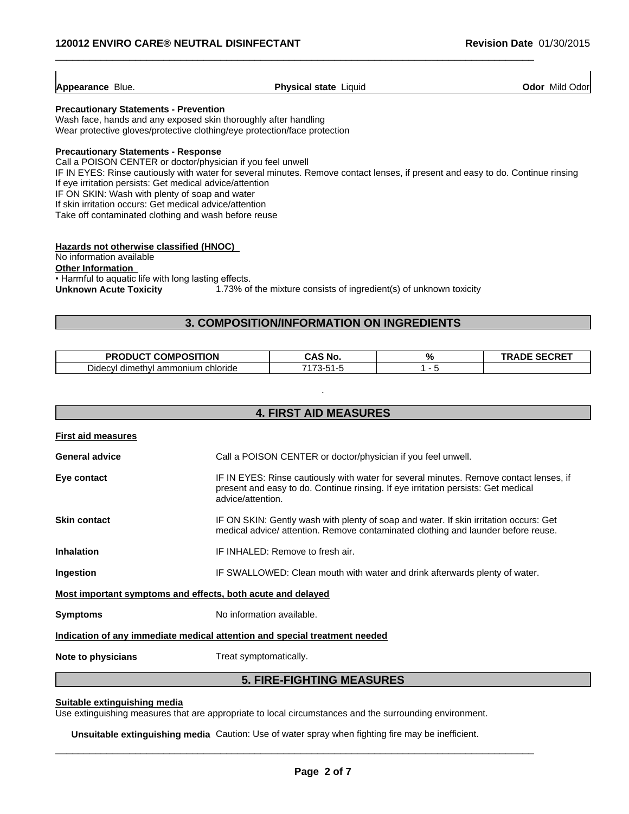| Blue.<br>Mild Odor<br>Appearance<br><b>Physical state</b><br>Odor<br>Liauid |
|-----------------------------------------------------------------------------|
|-----------------------------------------------------------------------------|

 $\_$  ,  $\_$  ,  $\_$  ,  $\_$  ,  $\_$  ,  $\_$  ,  $\_$  ,  $\_$  ,  $\_$  ,  $\_$  ,  $\_$  ,  $\_$  ,  $\_$  ,  $\_$  ,  $\_$  ,  $\_$  ,  $\_$  ,  $\_$  ,  $\_$  ,  $\_$  ,  $\_$  ,  $\_$  ,  $\_$  ,  $\_$  ,  $\_$  ,  $\_$  ,  $\_$  ,  $\_$  ,  $\_$  ,  $\_$  ,  $\_$  ,  $\_$  ,  $\_$  ,  $\_$  ,  $\_$  ,  $\_$  ,  $\_$  ,

#### **Precautionary Statements - Prevention**

Wash face, hands and any exposed skin thoroughly after handling Wear protective gloves/protective clothing/eye protection/face protection

### **Precautionary Statements - Response**

Call a POISON CENTER or doctor/physician if you feel unwell

IF IN EYES: Rinse cautiously with water for several minutes. Remove contact lenses, if present and easy to do. Continue rinsing If eye irritation persists: Get medical advice/attention IF ON SKIN: Wash with plenty of soap and water **3. COMPOSITION/INFORMATION ON INGREDIENTS<br>
Stronghamental minutes.**<br> **3. Sop and washrend minutes.**<br> **3. COMPOSITION/INFORMATION ON INGREDIENTS**<br> **3. COMPOSITION/INFORMATION ON INGREDIENTS**<br> **3. COMPOSITION/INFORMATION ON** 

If skin irritation occurs: Get medical advice/attention

Take off contaminated clothing and wash before reuse

#### **Hazards not otherwise classified (HNOC)**

### No information available

 $\overline{1}$ 

| <b>COMPOSITION</b><br><b>PRO</b><br>nuc                       | CAS<br><b>NO</b>         | . .<br>$\sqrt{2}$ | $C$ $C$ $C$ $C$ $T$<br>ADE<br>:vrc |
|---------------------------------------------------------------|--------------------------|-------------------|------------------------------------|
| - -<br>chloride<br>ammonium<br>dimethyl<br>Didec <sup>®</sup> | 7470<br>ັນ 1<br>.<br>. . | . .               |                                    |

| Hazards not otherwise classified (HNOC)<br>No information available<br><b>Other Information</b>                                         |                                                                                                                                                                                                  |                                                                    |                 |                     |  |
|-----------------------------------------------------------------------------------------------------------------------------------------|--------------------------------------------------------------------------------------------------------------------------------------------------------------------------------------------------|--------------------------------------------------------------------|-----------------|---------------------|--|
| • Harmful to aquatic life with long lasting effects.<br><b>Unknown Acute Toxicity</b>                                                   |                                                                                                                                                                                                  | 1.73% of the mixture consists of ingredient(s) of unknown toxicity |                 |                     |  |
|                                                                                                                                         |                                                                                                                                                                                                  | 3. COMPOSITION/INFORMATION ON INGREDIENTS                          |                 |                     |  |
|                                                                                                                                         |                                                                                                                                                                                                  |                                                                    |                 |                     |  |
| PRODUCT COMPOSITION<br>Didecyl dimethyl ammonium chloride                                                                               |                                                                                                                                                                                                  | <b>CAS No.</b><br>7173-51-5                                        | $\%$<br>$1 - 5$ | <b>TRADE SECRET</b> |  |
|                                                                                                                                         |                                                                                                                                                                                                  | <b>4. FIRST AID MEASURES</b>                                       |                 |                     |  |
| <b>First aid measures</b>                                                                                                               |                                                                                                                                                                                                  |                                                                    |                 |                     |  |
| <b>General advice</b>                                                                                                                   |                                                                                                                                                                                                  | Call a POISON CENTER or doctor/physician if you feel unwell.       |                 |                     |  |
| Eye contact                                                                                                                             | IF IN EYES: Rinse cautiously with water for several minutes. Remove contact lenses, if<br>present and easy to do. Continue rinsing. If eye irritation persists: Get medical<br>advice/attention. |                                                                    |                 |                     |  |
| <b>Skin contact</b>                                                                                                                     | IF ON SKIN: Gently wash with plenty of soap and water. If skin irritation occurs: Get<br>medical advice/ attention. Remove contaminated clothing and launder before reuse.                       |                                                                    |                 |                     |  |
| <b>Inhalation</b>                                                                                                                       | IF INHALED: Remove to fresh air.                                                                                                                                                                 |                                                                    |                 |                     |  |
| Ingestion                                                                                                                               | IF SWALLOWED: Clean mouth with water and drink afterwards plenty of water.                                                                                                                       |                                                                    |                 |                     |  |
| Most important symptoms and effects, both acute and delayed                                                                             |                                                                                                                                                                                                  |                                                                    |                 |                     |  |
| No information available.<br><b>Symptoms</b>                                                                                            |                                                                                                                                                                                                  |                                                                    |                 |                     |  |
| Indication of any immediate medical attention and special treatment needed                                                              |                                                                                                                                                                                                  |                                                                    |                 |                     |  |
| Note to physicians                                                                                                                      | Treat symptomatically.                                                                                                                                                                           |                                                                    |                 |                     |  |
|                                                                                                                                         |                                                                                                                                                                                                  | <b>5. FIRE-FIGHTING MEASURES</b>                                   |                 |                     |  |
| Suitable extinguishing media<br>Use extinguishing measures that are appropriate to local circumstances and the surrounding environment. |                                                                                                                                                                                                  |                                                                    |                 |                     |  |

#### **Suitable extinguishing media**

**Unsuitable extinguishing media** Caution: Use of water spray when fighting fire may be inefficient.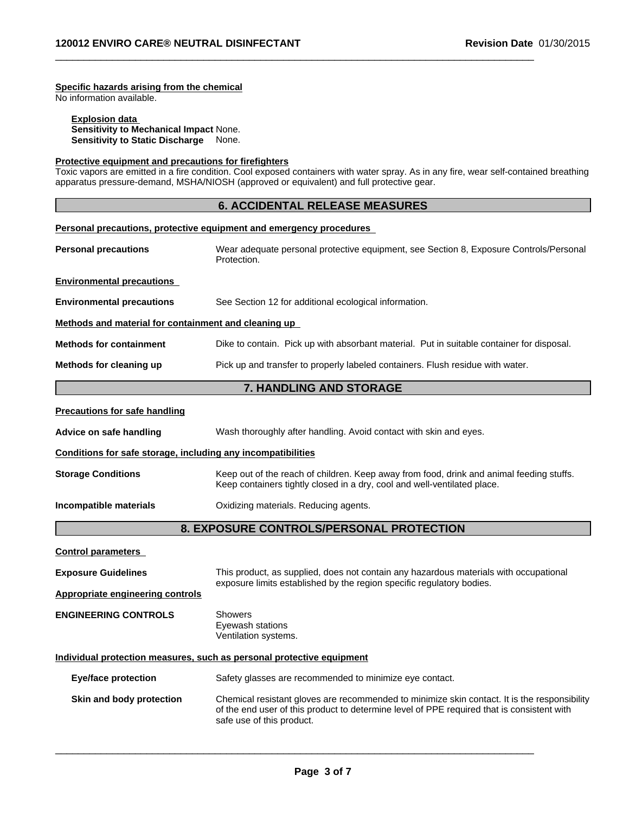# **Specific hazards arising from the chemical**

#### **Explosion data**

# **Protective equipment and precautions for firefighters**

| <b>120012 ENVIRO CARE® NEUTRAL DISINFECTANT</b>                                                                                            |                                                                                            | <b>Revision Date 01/30/2015</b>                                                                                                       |
|--------------------------------------------------------------------------------------------------------------------------------------------|--------------------------------------------------------------------------------------------|---------------------------------------------------------------------------------------------------------------------------------------|
| Specific hazards arising from the chemical<br>No information available.<br><b>Explosion data</b><br>Sensitivity to Mechanical Impact None. |                                                                                            |                                                                                                                                       |
| Sensitivity to Static Discharge None.                                                                                                      |                                                                                            |                                                                                                                                       |
| Protective equipment and precautions for firefighters                                                                                      | apparatus pressure-demand, MSHA/NIOSH (approved or equivalent) and full protective gear.   | Toxic vapors are emitted in a fire condition. Cool exposed containers with water spray. As in any fire, wear self-contained breathing |
|                                                                                                                                            | <b>6. ACCIDENTAL RELEASE MEASURES</b>                                                      |                                                                                                                                       |
|                                                                                                                                            | Personal precautions, protective equipment and emergency procedures                        |                                                                                                                                       |
| <b>Personal precautions</b>                                                                                                                | Protection.                                                                                | Wear adequate personal protective equipment, see Section 8, Exposure Controls/Personal                                                |
| <b>Environmental precautions</b>                                                                                                           |                                                                                            |                                                                                                                                       |
| <b>Environmental precautions</b>                                                                                                           | See Section 12 for additional ecological information.                                      |                                                                                                                                       |
| Methods and material for containment and cleaning up                                                                                       |                                                                                            |                                                                                                                                       |
| <b>Methods for containment</b>                                                                                                             |                                                                                            | Dike to contain. Pick up with absorbant material. Put in suitable container for disposal.                                             |
| Methods for cleaning up                                                                                                                    | Pick up and transfer to properly labeled containers. Flush residue with water.             |                                                                                                                                       |
|                                                                                                                                            | 7. HANDLING AND STORAGE                                                                    |                                                                                                                                       |
| <b>Precautions for safe handling</b>                                                                                                       |                                                                                            |                                                                                                                                       |
| Advice on safe handling                                                                                                                    | Wash thoroughly after handling. Avoid contact with skin and eyes.                          |                                                                                                                                       |
| Conditions for safe storage, including any incompatibilities                                                                               |                                                                                            |                                                                                                                                       |
| <b>Storage Conditions</b>                                                                                                                  | Keep containers tightly closed in a dry, cool and well-ventilated place.                   | Keep out of the reach of children. Keep away from food, drink and animal feeding stuffs.                                              |
| Incompatible materials                                                                                                                     | Oxidizing materials. Reducing agents.                                                      |                                                                                                                                       |
|                                                                                                                                            | 8. EXPOSURE CONTROLS/PERSONAL PROTECTION                                                   |                                                                                                                                       |
| <b>Control parameters</b>                                                                                                                  |                                                                                            |                                                                                                                                       |
| <b>Exposure Guidelines</b>                                                                                                                 |                                                                                            | This product, as supplied, does not contain any hazardous materials with occupational                                                 |
| <b>Appropriate engineering controls</b>                                                                                                    | exposure limits established by the region specific regulatory bodies.                      |                                                                                                                                       |
| <b>ENGINEERING CONTROLS</b>                                                                                                                | <b>Showers</b><br>Eyewash stations<br>Ventilation systems.                                 |                                                                                                                                       |
|                                                                                                                                            | Individual protection measures, such as personal protective equipment                      |                                                                                                                                       |
| <b>Eye/face protection</b>                                                                                                                 | Safety glasses are recommended to minimize eye contact.                                    |                                                                                                                                       |
| Skin and body protection                                                                                                                   | of the end user of this product to determine level of PPE required that is consistent with | Chemical resistant gloves are recommended to minimize skin contact. It is the responsibility                                          |

\_\_\_\_\_\_\_\_\_\_\_\_\_\_\_\_\_\_\_\_\_\_\_\_\_\_\_\_\_\_\_\_\_\_\_\_\_\_\_\_\_\_\_\_\_\_\_\_\_\_\_\_\_\_\_\_\_\_\_\_\_\_\_\_\_\_\_\_\_\_\_\_\_\_\_\_\_\_\_\_\_\_\_\_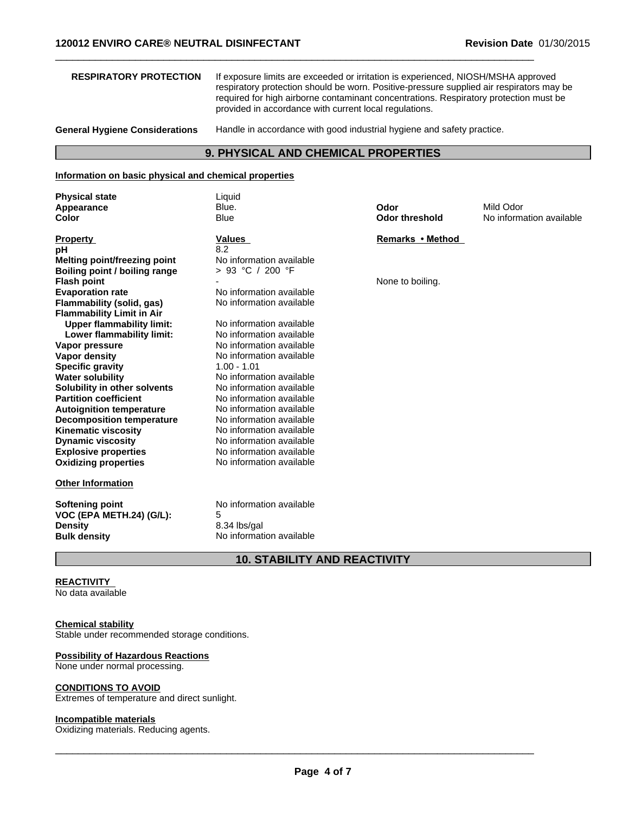| If exposure limits are exceeded or irritation is experienced, NIOSH/MSHA approved<br><b>RESPIRATORY PROTECTION</b><br>respiratory protection should be worn. Positive-pressure supplied air respirators may be<br>required for high airborne contaminant concentrations. Respiratory protection must be<br>provided in accordance with current local regulations.<br><b>General Hygiene Considerations</b><br>Handle in accordance with good industrial hygiene and safety practice.<br>9. PHYSICAL AND CHEMICAL PROPERTIES<br>Information on basic physical and chemical properties<br><b>Physical state</b><br>Liquid<br>Blue.<br>Odor<br>Mild Odor<br>Appearance<br><b>Blue</b><br>Color<br><b>Odor threshold</b><br>No information available<br><b>Property</b><br>Remarks • Method<br>Values<br>рH<br>8.2<br>No information available<br><b>Melting point/freezing point</b><br>> 93 °C / 200 °F<br>None to boiling.<br>No information available<br>No information available<br><b>Upper flammability limit:</b><br>No information available<br>Lower flammability limit:<br>No information available<br>No information available<br>No information available<br>$1.00 - 1.01$<br>No information available<br>No information available<br>No information available<br>No information available<br>No information available<br>No information available<br>No information available<br>No information available<br>No information available<br>No information available<br>5<br>8.34 lbs/gal<br>No information available | 120012 ENVIRO CARE® NEUTRAL DISINFECTANT |  | <b>Revision Date 01/30/2015</b> |
|------------------------------------------------------------------------------------------------------------------------------------------------------------------------------------------------------------------------------------------------------------------------------------------------------------------------------------------------------------------------------------------------------------------------------------------------------------------------------------------------------------------------------------------------------------------------------------------------------------------------------------------------------------------------------------------------------------------------------------------------------------------------------------------------------------------------------------------------------------------------------------------------------------------------------------------------------------------------------------------------------------------------------------------------------------------------------------------------------------------------------------------------------------------------------------------------------------------------------------------------------------------------------------------------------------------------------------------------------------------------------------------------------------------------------------------------------------------------------------------------------------------------------|------------------------------------------|--|---------------------------------|
|                                                                                                                                                                                                                                                                                                                                                                                                                                                                                                                                                                                                                                                                                                                                                                                                                                                                                                                                                                                                                                                                                                                                                                                                                                                                                                                                                                                                                                                                                                                              |                                          |  |                                 |
|                                                                                                                                                                                                                                                                                                                                                                                                                                                                                                                                                                                                                                                                                                                                                                                                                                                                                                                                                                                                                                                                                                                                                                                                                                                                                                                                                                                                                                                                                                                              |                                          |  |                                 |
|                                                                                                                                                                                                                                                                                                                                                                                                                                                                                                                                                                                                                                                                                                                                                                                                                                                                                                                                                                                                                                                                                                                                                                                                                                                                                                                                                                                                                                                                                                                              |                                          |  |                                 |
|                                                                                                                                                                                                                                                                                                                                                                                                                                                                                                                                                                                                                                                                                                                                                                                                                                                                                                                                                                                                                                                                                                                                                                                                                                                                                                                                                                                                                                                                                                                              |                                          |  |                                 |
|                                                                                                                                                                                                                                                                                                                                                                                                                                                                                                                                                                                                                                                                                                                                                                                                                                                                                                                                                                                                                                                                                                                                                                                                                                                                                                                                                                                                                                                                                                                              |                                          |  |                                 |
|                                                                                                                                                                                                                                                                                                                                                                                                                                                                                                                                                                                                                                                                                                                                                                                                                                                                                                                                                                                                                                                                                                                                                                                                                                                                                                                                                                                                                                                                                                                              |                                          |  |                                 |
|                                                                                                                                                                                                                                                                                                                                                                                                                                                                                                                                                                                                                                                                                                                                                                                                                                                                                                                                                                                                                                                                                                                                                                                                                                                                                                                                                                                                                                                                                                                              |                                          |  |                                 |
|                                                                                                                                                                                                                                                                                                                                                                                                                                                                                                                                                                                                                                                                                                                                                                                                                                                                                                                                                                                                                                                                                                                                                                                                                                                                                                                                                                                                                                                                                                                              |                                          |  |                                 |
| Boiling point / boiling range                                                                                                                                                                                                                                                                                                                                                                                                                                                                                                                                                                                                                                                                                                                                                                                                                                                                                                                                                                                                                                                                                                                                                                                                                                                                                                                                                                                                                                                                                                |                                          |  |                                 |
| <b>Flash point</b><br><b>Evaporation rate</b><br>Flammability (solid, gas)<br><b>Flammability Limit in Air</b><br>Vapor pressure<br><b>Vapor density</b><br><b>Specific gravity</b><br><b>Water solubility</b><br>Solubility in other solvents<br><b>Partition coefficient</b><br><b>Autoignition temperature</b><br><b>Decomposition temperature</b><br><b>Kinematic viscosity</b><br><b>Dynamic viscosity</b><br><b>Explosive properties</b><br><b>Oxidizing properties</b><br><b>Other Information</b><br>VOC (EPA METH.24) (G/L):<br><b>Density</b><br><b>Bulk density</b>                                                                                                                                                                                                                                                                                                                                                                                                                                                                                                                                                                                                                                                                                                                                                                                                                                                                                                                                               |                                          |  |                                 |
|                                                                                                                                                                                                                                                                                                                                                                                                                                                                                                                                                                                                                                                                                                                                                                                                                                                                                                                                                                                                                                                                                                                                                                                                                                                                                                                                                                                                                                                                                                                              |                                          |  |                                 |
|                                                                                                                                                                                                                                                                                                                                                                                                                                                                                                                                                                                                                                                                                                                                                                                                                                                                                                                                                                                                                                                                                                                                                                                                                                                                                                                                                                                                                                                                                                                              |                                          |  |                                 |
|                                                                                                                                                                                                                                                                                                                                                                                                                                                                                                                                                                                                                                                                                                                                                                                                                                                                                                                                                                                                                                                                                                                                                                                                                                                                                                                                                                                                                                                                                                                              |                                          |  |                                 |
|                                                                                                                                                                                                                                                                                                                                                                                                                                                                                                                                                                                                                                                                                                                                                                                                                                                                                                                                                                                                                                                                                                                                                                                                                                                                                                                                                                                                                                                                                                                              |                                          |  |                                 |
|                                                                                                                                                                                                                                                                                                                                                                                                                                                                                                                                                                                                                                                                                                                                                                                                                                                                                                                                                                                                                                                                                                                                                                                                                                                                                                                                                                                                                                                                                                                              |                                          |  |                                 |
|                                                                                                                                                                                                                                                                                                                                                                                                                                                                                                                                                                                                                                                                                                                                                                                                                                                                                                                                                                                                                                                                                                                                                                                                                                                                                                                                                                                                                                                                                                                              |                                          |  |                                 |
|                                                                                                                                                                                                                                                                                                                                                                                                                                                                                                                                                                                                                                                                                                                                                                                                                                                                                                                                                                                                                                                                                                                                                                                                                                                                                                                                                                                                                                                                                                                              |                                          |  |                                 |
|                                                                                                                                                                                                                                                                                                                                                                                                                                                                                                                                                                                                                                                                                                                                                                                                                                                                                                                                                                                                                                                                                                                                                                                                                                                                                                                                                                                                                                                                                                                              |                                          |  |                                 |
|                                                                                                                                                                                                                                                                                                                                                                                                                                                                                                                                                                                                                                                                                                                                                                                                                                                                                                                                                                                                                                                                                                                                                                                                                                                                                                                                                                                                                                                                                                                              |                                          |  |                                 |
|                                                                                                                                                                                                                                                                                                                                                                                                                                                                                                                                                                                                                                                                                                                                                                                                                                                                                                                                                                                                                                                                                                                                                                                                                                                                                                                                                                                                                                                                                                                              |                                          |  |                                 |
|                                                                                                                                                                                                                                                                                                                                                                                                                                                                                                                                                                                                                                                                                                                                                                                                                                                                                                                                                                                                                                                                                                                                                                                                                                                                                                                                                                                                                                                                                                                              |                                          |  |                                 |
|                                                                                                                                                                                                                                                                                                                                                                                                                                                                                                                                                                                                                                                                                                                                                                                                                                                                                                                                                                                                                                                                                                                                                                                                                                                                                                                                                                                                                                                                                                                              |                                          |  |                                 |
|                                                                                                                                                                                                                                                                                                                                                                                                                                                                                                                                                                                                                                                                                                                                                                                                                                                                                                                                                                                                                                                                                                                                                                                                                                                                                                                                                                                                                                                                                                                              |                                          |  |                                 |
|                                                                                                                                                                                                                                                                                                                                                                                                                                                                                                                                                                                                                                                                                                                                                                                                                                                                                                                                                                                                                                                                                                                                                                                                                                                                                                                                                                                                                                                                                                                              |                                          |  |                                 |
|                                                                                                                                                                                                                                                                                                                                                                                                                                                                                                                                                                                                                                                                                                                                                                                                                                                                                                                                                                                                                                                                                                                                                                                                                                                                                                                                                                                                                                                                                                                              |                                          |  |                                 |
|                                                                                                                                                                                                                                                                                                                                                                                                                                                                                                                                                                                                                                                                                                                                                                                                                                                                                                                                                                                                                                                                                                                                                                                                                                                                                                                                                                                                                                                                                                                              |                                          |  |                                 |
|                                                                                                                                                                                                                                                                                                                                                                                                                                                                                                                                                                                                                                                                                                                                                                                                                                                                                                                                                                                                                                                                                                                                                                                                                                                                                                                                                                                                                                                                                                                              |                                          |  |                                 |
|                                                                                                                                                                                                                                                                                                                                                                                                                                                                                                                                                                                                                                                                                                                                                                                                                                                                                                                                                                                                                                                                                                                                                                                                                                                                                                                                                                                                                                                                                                                              |                                          |  |                                 |
|                                                                                                                                                                                                                                                                                                                                                                                                                                                                                                                                                                                                                                                                                                                                                                                                                                                                                                                                                                                                                                                                                                                                                                                                                                                                                                                                                                                                                                                                                                                              |                                          |  |                                 |
|                                                                                                                                                                                                                                                                                                                                                                                                                                                                                                                                                                                                                                                                                                                                                                                                                                                                                                                                                                                                                                                                                                                                                                                                                                                                                                                                                                                                                                                                                                                              | <b>Softening point</b>                   |  |                                 |
|                                                                                                                                                                                                                                                                                                                                                                                                                                                                                                                                                                                                                                                                                                                                                                                                                                                                                                                                                                                                                                                                                                                                                                                                                                                                                                                                                                                                                                                                                                                              |                                          |  |                                 |
|                                                                                                                                                                                                                                                                                                                                                                                                                                                                                                                                                                                                                                                                                                                                                                                                                                                                                                                                                                                                                                                                                                                                                                                                                                                                                                                                                                                                                                                                                                                              |                                          |  |                                 |
|                                                                                                                                                                                                                                                                                                                                                                                                                                                                                                                                                                                                                                                                                                                                                                                                                                                                                                                                                                                                                                                                                                                                                                                                                                                                                                                                                                                                                                                                                                                              |                                          |  |                                 |
| <b>10. STABILITY AND REACTIVITY</b>                                                                                                                                                                                                                                                                                                                                                                                                                                                                                                                                                                                                                                                                                                                                                                                                                                                                                                                                                                                                                                                                                                                                                                                                                                                                                                                                                                                                                                                                                          |                                          |  |                                 |

# **REACTIVITY**

# **Chemical stability**

Stable under recommended storage conditions.

### **Possibility of Hazardous Reactions**

None under normal processing.

### **CONDITIONS TO AVOID**

Extremes of temperature and direct sunlight.

# **Incompatible materials**

Oxidizing materials. Reducing agents.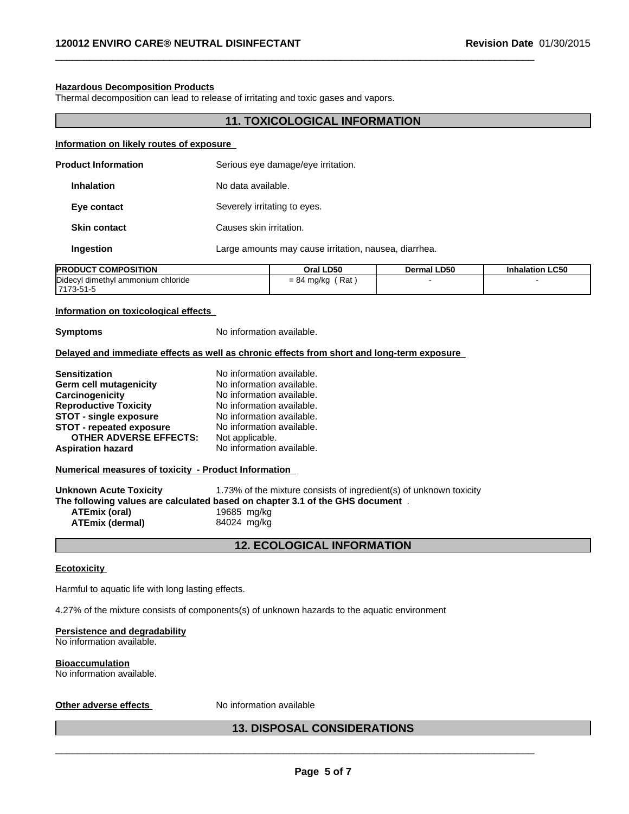#### **Hazardous Decomposition Products**

Thermal decomposition can lead to release of irritating and toxic gases and vapors.

# **11. TOXICOLOGICAL INFORMATION**

 $\_$  ,  $\_$  ,  $\_$  ,  $\_$  ,  $\_$  ,  $\_$  ,  $\_$  ,  $\_$  ,  $\_$  ,  $\_$  ,  $\_$  ,  $\_$  ,  $\_$  ,  $\_$  ,  $\_$  ,  $\_$  ,  $\_$  ,  $\_$  ,  $\_$  ,  $\_$  ,  $\_$  ,  $\_$  ,  $\_$  ,  $\_$  ,  $\_$  ,  $\_$  ,  $\_$  ,  $\_$  ,  $\_$  ,  $\_$  ,  $\_$  ,  $\_$  ,  $\_$  ,  $\_$  ,  $\_$  ,  $\_$  ,  $\_$  ,

#### **Information on likely routes of exposure**

| <b>Product Information</b>       |           | Serious eye damage/eye irritation.                    |
|----------------------------------|-----------|-------------------------------------------------------|
| <b>Inhalation</b><br>Eye contact |           | No data available.                                    |
|                                  |           | Severely irritating to eyes.                          |
| <b>Skin contact</b>              |           | Causes skin irritation.                               |
|                                  | Ingestion | Large amounts may cause irritation, nausea, diarrhea. |
|                                  |           |                                                       |

| <b>COMPOSITION</b><br><b>PRODUCT</b>    | Oral LD50                          | <b>Dermal LD50</b> | <b>Inhalation LC50</b> |
|-----------------------------------------|------------------------------------|--------------------|------------------------|
| Didecyl<br>I dimethvl ammonium chloride | Rat<br>-84<br>. ma/ka<br>I<br>∸ن = |                    |                        |
| 173-51-5<br>7470                        |                                    |                    |                        |

#### **Information on toxicological effects**

**Symptoms** No information available.

#### **Delayed and immediate effects as well as chronic effects from short and long-term exposure**

| <b>Sensitization</b>            | No information available. |
|---------------------------------|---------------------------|
| Germ cell mutagenicity          | No information available. |
| Carcinogenicity                 | No information available. |
| <b>Reproductive Toxicity</b>    | No information available. |
| <b>STOT - single exposure</b>   | No information available. |
| <b>STOT - repeated exposure</b> | No information available. |
| <b>OTHER ADVERSE EFFECTS:</b>   | Not applicable.           |
| <b>Aspiration hazard</b>        | No information available. |

**Numerical measures of toxicity - Product Information**

**Unknown Acute Toxicity** 1.73% of the mixture consists of ingredient(s) of unknown toxicity **The following values are calculated based on chapter 3.1 of the GHS document** . **ATEmix (oral)** 19685 mg/kg **ATEmix (dermal)**84024 mg/kg

# **12. ECOLOGICAL INFORMATION**

#### **Ecotoxicity**

Harmful to aquatic life with long lasting effects.

4.27% of the mixture consists of components(s) of unknown hazards to the aquatic environment

#### **Persistence and degradability**

No information available.

#### **Bioaccumulation**

No information available.

#### **Other adverse effects** No information available

# **13. DISPOSAL CONSIDERATIONS**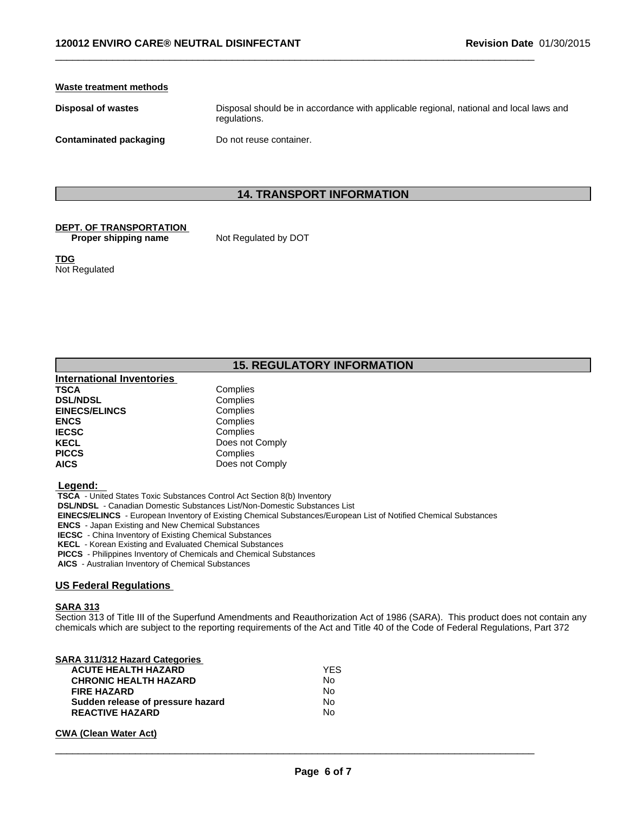#### **Waste treatment methods**

**Disposal of wastes** Disposal should be in accordance with applicable regional, national and local laws and regulations.

**Contaminated packaging Do not reuse container.** 

# **14. TRANSPORT INFORMATION**

 $\_$  ,  $\_$  ,  $\_$  ,  $\_$  ,  $\_$  ,  $\_$  ,  $\_$  ,  $\_$  ,  $\_$  ,  $\_$  ,  $\_$  ,  $\_$  ,  $\_$  ,  $\_$  ,  $\_$  ,  $\_$  ,  $\_$  ,  $\_$  ,  $\_$  ,  $\_$  ,  $\_$  ,  $\_$  ,  $\_$  ,  $\_$  ,  $\_$  ,  $\_$  ,  $\_$  ,  $\_$  ,  $\_$  ,  $\_$  ,  $\_$  ,  $\_$  ,  $\_$  ,  $\_$  ,  $\_$  ,  $\_$  ,  $\_$  ,

# **DEPT. OF TRANSPORTATION**

**Proper shipping name** Not Regulated by DOT

**TDG** Not Regulated

# **15. REGULATORY INFORMATION**

| <b>International Inventories</b> |                 |
|----------------------------------|-----------------|
| <b>TSCA</b>                      | Complies        |
| <b>DSL/NDSL</b>                  | Complies        |
| <b>EINECS/ELINCS</b>             | Complies        |
| <b>ENCS</b>                      | Complies        |
| <b>IECSC</b>                     | Complies        |
| <b>KECL</b>                      | Does not Comply |
| <b>PICCS</b>                     | Complies        |
| <b>AICS</b>                      | Does not Comply |

 **Legend:** 

 **TSCA** - United States Toxic Substances Control Act Section 8(b) Inventory

 **DSL/NDSL** - Canadian Domestic Substances List/Non-Domestic Substances List

 **EINECS/ELINCS** - European Inventory of Existing Chemical Substances/European List of Notified Chemical Substances

 **ENCS** - Japan Existing and New Chemical Substances

 **IECSC** - China Inventory of Existing Chemical Substances

 **KECL** - Korean Existing and Evaluated Chemical Substances

 **PICCS** - Philippines Inventory of Chemicals and Chemical Substances

 **AICS** - Australian Inventory of Chemical Substances

#### **US Federal Regulations**

#### **SARA 313**

Section 313 of Title III of the Superfund Amendments and Reauthorization Act of 1986 (SARA). This product does not contain any chemicals which are subject to the reporting requirements of the Act and Title 40 of the Code of Federal Regulations, Part 372

| <b>YFS</b> |  |
|------------|--|
| No         |  |
| No         |  |
| No         |  |
| No         |  |
|            |  |

#### **CWA** (Clean Water Act)